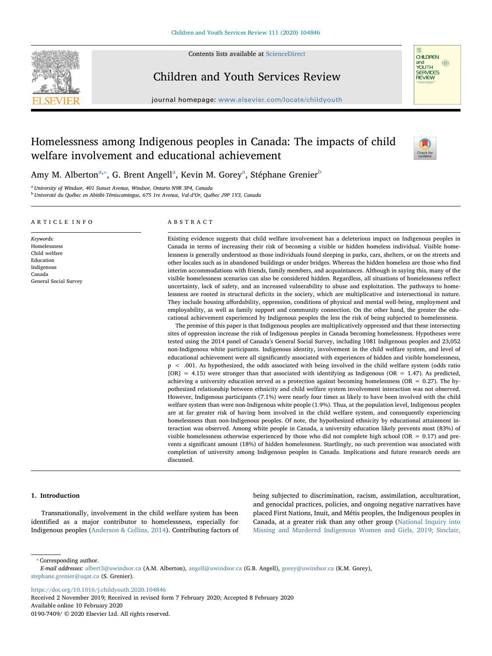

Contents lists available at [ScienceDirect](http://www.sciencedirect.com/science/journal/01907409)

## Children and Youth Services Review



journal homepage: [www.elsevier.com/locate/childyouth](https://www.elsevier.com/locate/childyouth)

# Homelessness among Indigenous peoples in Canada: The impacts of child welfare involvement and educational achievement



Amy M. Alberton $\mathrm{^{a,*}}$  $\mathrm{^{a,*}}$  $\mathrm{^{a,*}}$ , G. Brent Angell $\mathrm{^{a}}$ , Kevin M. Gorey $\mathrm{^{a}}$ , Stéphane Grenier $\mathrm{^{b}}$ 

<span id="page-0-0"></span><sup>a</sup> University of Windsor, 401 Sunset Avenue, Windsor, Ontario N9B 3P4, Canada

<span id="page-0-2"></span><sup>b</sup> Université du Québec en Abitibi-Témiscamingue, 675 1re Avenue, Val-d'Or, Québec J9P 1Y3, Canada

## ARTICLE INFO

Keywords: Homelessness Child welfare Education Indigenous Canada General Social Survey

### ABSTRACT

Existing evidence suggests that child welfare involvement has a deleterious impact on Indigenous peoples in Canada in terms of increasing their risk of becoming a visible or hidden homeless individual. Visible homelessness is generally understood as those individuals found sleeping in parks, cars, shelters, or on the streets and other locales such as in abandoned buildings or under bridges. Whereas the hidden homeless are those who find interim accommodations with friends, family members, and acquaintances. Although in saying this, many of the visible homelessness scenarios can also be considered hidden. Regardless, all situations of homelessness reflect uncertainty, lack of safety, and an increased vulnerability to abuse and exploitation. The pathways to homelessness are rooted in structural deficits in the society, which are multiplicative and intersectional in nature. They include housing affordability, oppression, conditions of physical and mental well-being, employment and employability, as well as family support and community connection. On the other hand, the greater the educational achievement experienced by Indigenous peoples the less the risk of being subjected to homelessness.

The premise of this paper is that Indigenous peoples are multiplicatively oppressed and that these intersecting sites of oppression increase the risk of Indigenous peoples in Canada becoming homelessness. Hypotheses were tested using the 2014 panel of Canada's General Social Survey, including 1081 Indigenous peoples and 23,052 non-Indigenous white participants. Indigenous identity, involvement in the child welfare system, and level of educational achievement were all significantly associated with experiences of hidden and visible homelessness, p < .001. As hypothesized, the odds associated with being involved in the child welfare system (odds ratio  $[OR] = 4.15$ ) were stronger than that associated with identifying as Indigenous (OR = 1.47). As predicted, achieving a university education served as a protection against becoming homelessness (OR =  $0.27$ ). The hypothesized relationship between ethnicity and child welfare system involvement interaction was not observed. However, Indigenous participants (7.1%) were nearly four times as likely to have been involved with the child welfare system than were non-Indigenous white people (1.9%). Thus, at the population level, Indigenous peoples are at far greater risk of having been involved in the child welfare system, and consequently experiencing homelessness than non-Indigenous peoples. Of note, the hypothesized ethnicity by educational attainment interaction was observed. Among white people in Canada, a university education likely prevents most (83%) of visible homelessness otherwise experienced by those who did not complete high school ( $OR = 0.17$ ) and prevents a significant amount (18%) of hidden homelessness. Startlingly, no such prevention was associated with completion of university among Indigenous peoples in Canada. Implications and future research needs are discussed.

#### 1. Introduction

Transnationally, involvement in the child welfare system has been identified as a major contributor to homelessness, especially for Indigenous peoples ([Anderson & Collins, 2014\)](#page-7-0). Contributing factors of being subjected to discrimination, racism, assimilation, acculturation, and genocidal practices, policies, and ongoing negative narratives have placed First Nations, Inuit, and Métis peoples, the Indigenous peoples in Canada, at a greater risk than any other group ([National Inquiry into](#page-8-0) [Missing and Murdered Indigenous Women and Girls, 2019; Sinclair,](#page-8-0)

<span id="page-0-1"></span>⁎ Corresponding author.

<https://doi.org/10.1016/j.childyouth.2020.104846>

Received 2 November 2019; Received in revised form 7 February 2020; Accepted 8 February 2020 Available online 10 February 2020 0190-7409/ © 2020 Elsevier Ltd. All rights reserved.

E-mail addresses: [albert3@uwindsor.ca](mailto:albert3@uwindsor.ca) (A.M. Alberton), [angell@uwindsor.ca](mailto:angell@uwindsor.ca) (G.B. Angell), [gorey@uwindsor.ca](mailto:gorey@uwindsor.ca) (K.M. Gorey), [stephane.grenier@uqat.ca](mailto:stephane.grenier@uqat.ca) (S. Grenier).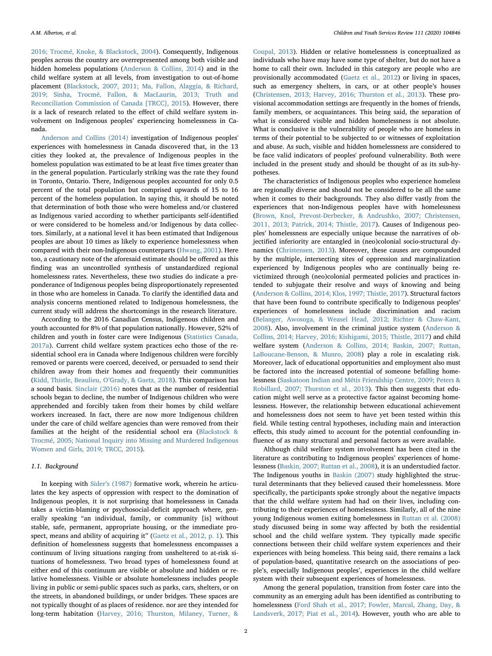[2016; Trocmé, Knoke, & Blackstock, 2004](#page-8-0)). Consequently, Indigenous peoples across the country are overrepresented among both visible and hidden homeless populations [\(Anderson & Collins, 2014\)](#page-7-0) and in the child welfare system at all levels, from investigation to out-of-home placement ([Blackstock, 2007, 2011; Ma, Fallon, Alaggia, & Richard,](#page-7-1) [2019; Sinha, Trocmé, Fallon, & MacLaurin, 2013; Truth and](#page-7-1) [Reconciliation Commission of Canada \[TRCC\], 2015\)](#page-7-1). However, there is a lack of research related to the effect of child welfare system involvement on Indigenous peoples' experiencing homelessness in Canada.

[Anderson and Collins \(2014\)](#page-7-0) investigation of Indigenous peoples' experiences with homelessness in Canada discovered that, in the 13 cities they looked at, the prevalence of Indigenous peoples in the homeless population was estimated to be at least five times greater than in the general population. Particularly striking was the rate they found in Toronto, Ontario. There, Indigenous peoples accounted for only 0.5 percent of the total population but comprised upwards of 15 to 16 percent of the homeless population. In saying this, it should be noted that determination of both those who were homeless and/or clustered as Indigenous varied according to whether participants self-identified or were considered to be homeless and/or Indigenous by data collectors. Similarly, at a national level it has been estimated that Indigenous peoples are about 10 times as likely to experience homelessness when compared with their non-Indigenous counterparts [\(Hwang, 2001\)](#page-8-1). Here too, a cautionary note of the aforesaid estimate should be offered as this finding was an uncontrolled synthesis of unstandardized regional homelessness rates. Nevertheless, these two studies do indicate a preponderance of Indigenous peoples being disproportionately represented in those who are homeless in Canada. To clarify the identified data and analysis concerns mentioned related to Indigenous homelessness, the current study will address the shortcomings in the research literature.

According to the 2016 Canadian Census, Indigenous children and youth accounted for 8% of that population nationally. However, 52% of children and youth in foster care were Indigenous ([Statistics Canada,](#page-8-2) [2017a\)](#page-8-2). Current child welfare system practices echo those of the residential school era in Canada where Indigenous children were forcibly removed or parents were coerced, deceived, or persuaded to send their children away from their homes and frequently their communities ([Kidd, Thistle, Beaulieu, O](#page-8-3)'Grady, & Gaetz, 2018). This comparison has a sound basis. [Sinclair \(2016\)](#page-8-4) notes that as the number of residential schools began to decline, the number of Indigenous children who were apprehended and forcibly taken from their homes by child welfare workers increased. In fact, there are now more Indigenous children under the care of child welfare agencies than were removed from their families at the height of the residential school era ([Blackstock &](#page-7-2) [Trocmé, 2005; National Inquiry into Missing and Murdered Indigenous](#page-7-2) [Women and Girls, 2019; TRCC, 2015](#page-7-2)).

## 1.1. Background

In keeping with Sider'[s \(1987\)](#page-8-5) formative work, wherein he articulates the key aspects of oppression with respect to the domination of Indigenous peoples, it is not surprising that homelessness in Canada takes a victim-blaming or psychosocial-deficit approach where, generally speaking "an individual, family, or community [is] without stable, safe, permanent, appropriate housing, or the immediate prospect, means and ability of acquiring it" [\(Gaetz et al., 2012, p. 1](#page-7-3)). This definition of homelessness suggests that homelessness encompasses a continuum of living situations ranging from unsheltered to at-risk situations of homelessness. Two broad types of homelessness found at either end of this continuum are visible or absolute and hidden or relative homelessness. Visible or absolute homelessness includes people living in public or semi-public spaces such as parks, cars, shelters, or on the streets, in abandoned buildings, or under bridges. These spaces are not typically thought of as places of residence. nor are they intended for long-term habitation ([Harvey, 2016; Thurston, Milaney, Turner, &](#page-7-4)

[Coupal, 2013](#page-7-4)). Hidden or relative homelessness is conceptualized as individuals who have may have some type of shelter, but do not have a home to call their own. Included in this category are people who are provisionally accommodated ([Gaetz et al., 2012\)](#page-7-3) or living in spaces, such as emergency shelters, in cars, or at other people's houses ([Christensen, 2013; Harvey, 2016; Thurston et al., 2013](#page-7-5)). These provisional accommodation settings are frequently in the homes of friends, family members, or acquaintances. This being said, the separation of what is considered visible and hidden homelessness is not absolute. What is conclusive is the vulnerability of people who are homeless in terms of their potential to be subjected to or witnesses of exploitation and abuse. As such, visible and hidden homelessness are considered to be face valid indicators of peoples' profound vulnerability. Both were included in the present study and should be thought of as its sub-hypotheses.

The characteristics of Indigenous peoples who experience homeless are regionally diverse and should not be considered to be all the same when it comes to their backgrounds. They also differ vastly from the experiences that non-Indigenous peoples have with homelessness ([Brown, Knol, Prevost-Derbecker, & Andrushko, 2007; Christensen,](#page-7-6) [2011, 2013; Patrick, 2014; Thistle, 2017\)](#page-7-6). Causes of Indigenous peoples' homelessness are especially unique because the narratives of objectified inferiority are entangled in (neo)colonial socio-structural dynamics ([Christensen, 2013](#page-7-5)). Moreover, these causes are compounded by the multiple, intersecting sites of oppression and marginalization experienced by Indigenous peoples who are continually being revictimized through (neo)colonial permeated policies and practices intended to subjugate their resolve and ways of knowing and being ([Anderson & Collins, 2014; Klos, 1997; Thistle, 2017\)](#page-7-0). Structural factors that have been found to contribute specifically to Indigenous peoples' experiences of homelessness include discrimination and racism ([Belanger, Awosoga, & Weasel Head, 2012; Richter & Chaw-Kant,](#page-7-7) [2008\)](#page-7-7). Also, involvement in the criminal justice system [\(Anderson &](#page-7-0) [Collins, 2014; Harvey, 2016; Kishigami, 2015; Thistle, 2017](#page-7-0)) and child welfare system ([Anderson & Collins, 2014; Baskin, 2007; Ruttan,](#page-7-0) [LaBoucane-Benson, & Munro, 2008\)](#page-7-0) play a role in escalating risk. Moreover, lack of educational opportunities and employment also must be factored into the increased potential of someone befalling homelessness [\(Saskatoon Indian and Métis Friendship Centre, 2009; Peters &](#page-8-6) [Robillard, 2007; Thurston et al., 2013](#page-8-6)). This then suggests that education might well serve as a protective factor against becoming homelessness. However, the relationship between educational achievement and homelessness does not seem to have yet been tested within this field. While testing central hypotheses, including main and interaction effects, this study aimed to account for the potential confounding influence of as many structural and personal factors as were available.

Although child welfare system involvement has been cited in the literature as contributing to Indigenous peoples' experiences of homelessness [\(Baskin, 2007; Ruttan et al., 2008\)](#page-7-8), it is an understudied factor. The Indigenous youths in [Baskin \(2007\)](#page-7-8) study highlighted the structural determinants that they believed caused their homelessness. More specifically, the participants spoke strongly about the negative impacts that the child welfare system had had on their lives, including contributing to their experiences of homelessness. Similarly, all of the nine young Indigenous women exiting homelessness in [Ruttan et al. \(2008\)](#page-8-7) study discussed being in some way affected by both the residential school and the child welfare system. They typically made specific connections between their child welfare system experiences and their experiences with being homeless. This being said, there remains a lack of population-based, quantitative research on the associations of people's, especially Indigenous peoples', experiences in the child welfare system with their subsequent experiences of homelessness.

Among the general population, transition from foster care into the community as an emerging adult has been identified as contributing to homelessness ([Ford Shah et al., 2017; Fowler, Marcal, Zhang, Day, &](#page-7-9) [Landsverk, 2017; Piat et al., 2014\)](#page-7-9). However, youth who are able to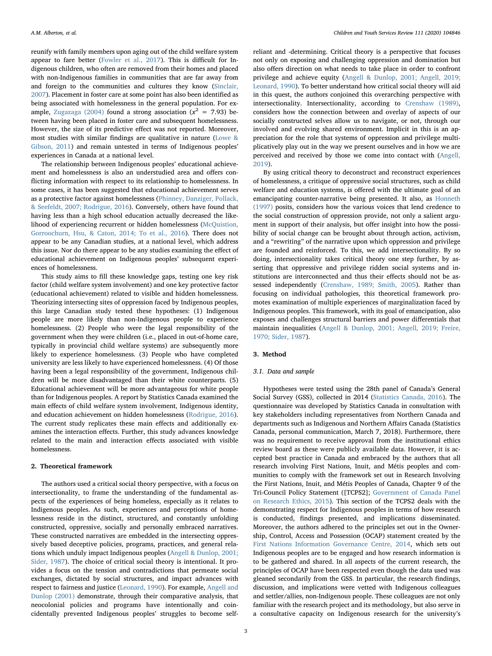reunify with family members upon aging out of the child welfare system appear to fare better ([Fowler et al., 2017\)](#page-7-10). This is difficult for Indigenous children, who often are removed from their homes and placed with non-Indigenous families in communities that are far away from and foreign to the communities and cultures they know ([Sinclair,](#page-8-8) [2007\)](#page-8-8). Placement in foster care at some point has also been identified as being associated with homelessness in the general population. For ex-ample, [Zugazaga \(2004\)](#page-8-9) found a strong association ( $x^2 = 7.93$ ) between having been placed in foster care and subsequent homelessness. However, the size of its predictive effect was not reported. Moreover, most studies with similar findings are qualitative in nature ([Lowe &](#page-8-10) [Gibson, 2011](#page-8-10)) and remain untested in terms of Indigenous peoples' experiences in Canada at a national level.

The relationship between Indigenous peoples' educational achievement and homelessness is also an understudied area and offers conflicting information with respect to its relationship to homelessness. In some cases, it has been suggested that educational achievement serves as a protective factor against homelessness [\(Phinney, Danziger, Pollack,](#page-8-11) [& Seefeldt, 2007; Rodrigue, 2016](#page-8-11)). Conversely, others have found that having less than a high school education actually decreased the likelihood of experiencing recurrent or hidden homelessness ([McQuistion,](#page-8-12) [Gorroochurn, Hsu, & Caton, 2014; To et al., 2016](#page-8-12)). There does not appear to be any Canadian studies, at a national level, which address this issue. Nor do there appear to be any studies examining the effect of educational achievement on Indigenous peoples' subsequent experiences of homelessness.

This study aims to fill these knowledge gaps, testing one key risk factor (child welfare system involvement) and one key protective factor (educational achievement) related to visible and hidden homelessness. Theorizing intersecting sites of oppression faced by Indigenous peoples, this large Canadian study tested these hypotheses: (1) Indigenous people are more likely than non-Indigenous people to experience homelessness. (2) People who were the legal responsibility of the government when they were children (i.e., placed in out-of-home care, typically in provincial child welfare systems) are subsequently more likely to experience homelessness. (3) People who have completed university are less likely to have experienced homelessness. (4) Of those having been a legal responsibility of the government, Indigenous children will be more disadvantaged than their white counterparts. (5) Educational achievement will be more advantageous for white people than for Indigenous peoples. A report by Statistics Canada examined the main effects of child welfare system involvement, Indigenous identity, and education achievement on hidden homelessness ([Rodrigue, 2016](#page-8-13)). The current study replicates these main effects and additionally examines the interaction effects. Further, this study advances knowledge related to the main and interaction effects associated with visible homelessness.

## 2. Theoretical framework

The authors used a critical social theory perspective, with a focus on intersectionality, to frame the understanding of the fundamental aspects of the experiences of being homeless, especially as it relates to Indigenous peoples. As such, experiences and perceptions of homelessness reside in the distinct, structured, and constantly unfolding constructed, oppressive, socially and personally embraced narratives. These constructed narratives are embedded in the intersecting oppressively based deceptive policies, programs, practices, and general relations which unduly impact Indigenous peoples ([Angell & Dunlop, 2001;](#page-7-11) [Sider, 1987\)](#page-7-11). The choice of critical social theory is intentional. It provides a focus on the tension and contradictions that permeate social exchanges, dictated by social structures, and impact advances with respect to fairness and justice [\(Leonard, 1990](#page-8-14)). For example, [Angell and](#page-7-11) [Dunlop \(2001\)](#page-7-11) demonstrate, through their comparative analysis, that neocolonial policies and programs have intentionally and coincidentally prevented Indigenous peoples' struggles to become selfreliant and -determining. Critical theory is a perspective that focuses not only on exposing and challenging oppression and domination but also offers direction on what needs to take place in order to confront privilege and achieve equity (Angell [& Dunlop, 2001; Angell, 2019;](#page-7-11) [Leonard, 1990\)](#page-7-11). To better understand how critical social theory will aid in this quest, the authors conjoined this overarching perspective with intersectionality. Intersectionality, according to [Crenshaw \(1989\)](#page-7-12), considers how the connection between and overlay of aspects of our socially constructed selves allow us to navigate, or not, through our involved and evolving shared environment. Implicit in this is an appreciation for the role that systems of oppression and privilege multiplicatively play out in the way we present ourselves and in how we are perceived and received by those we come into contact with ([Angell,](#page-7-13) [2019\)](#page-7-13).

By using critical theory to deconstruct and reconstruct experiences of homelessness, a critique of oppressive social structures, such as child welfare and education systems, is offered with the ultimate goal of an emancipating counter-narrative being presented. It also, as [Honneth](#page-8-15) [\(1997\)](#page-8-15) posits, considers how the various voices that lend credence to the social construction of oppression provide, not only a salient argument in support of their analysis, but offer insight into how the possibility of social change can be brought about through action, activism, and a "rewriting" of the narrative upon which oppression and privilege are founded and reinforced. To this, we add intersectionality. By so doing, intersectionality takes critical theory one step further, by asserting that oppressive and privilege ridden social systems and institutions are interconnected and thus their effects should not be assessed independently [\(Crenshaw, 1989; Smith, 2005](#page-7-12)). Rather than focusing on individual pathologies, this theoretical framework promotes examination of multiple experiences of marginalization faced by Indigenous peoples. This framework, with its goal of emancipation, also exposes and challenges structural barriers and power differentials that maintain inequalities ([Angell & Dunlop, 2001; Angell, 2019; Freire,](#page-7-11) [1970; Sider, 1987](#page-7-11)).

## 3. Method

## 3.1. Data and sample

Hypotheses were tested using the 28th panel of Canada's General Social Survey (GSS), collected in 2014 [\(Statistics Canada, 2016](#page-8-16)). The questionnaire was developed by Statistics Canada in consultation with key stakeholders including representatives from Northern Canada and departments such as Indigenous and Northern Affairs Canada (Statistics Canada, personal communication, March 7, 2018). Furthermore, there was no requirement to receive approval from the institutional ethics review board as these were publicly available data. However, it is accepted best practice in Canada and embraced by the authors that all research involving First Nations, Inuit, and Métis peoples and communities to comply with the framework set out in Research Involving the First Nations, Inuit, and Métis Peoples of Canada, Chapter 9 of the Tri-Council Policy Statement ([TCPS2]; [Government of Canada Panel](#page-7-14) [on Research Ethics, 2015\)](#page-7-14). This section of the TCPS2 deals with the demonstrating respect for Indigenous peoples in terms of how research is conducted, findings presented, and implications disseminated. Moreover, the authors adhered to the principles set out in the Ownership, Control, Access and Possession (OCAP) statement created by the [First Nations Information Governance Centre, 2014](#page-7-15), which sets out Indigenous peoples are to be engaged and how research information is to be gathered and shared. In all aspects of the current research, the principles of OCAP have been respected even though the data used was gleaned secondarily from the GSS. In particular, the research findings, discussion, and implications were vetted with Indigenous colleagues and settler/allies, non-Indigenous people. These colleagues are not only familiar with the research project and its methodology, but also serve in a consultative capacity on Indigenous research for the university's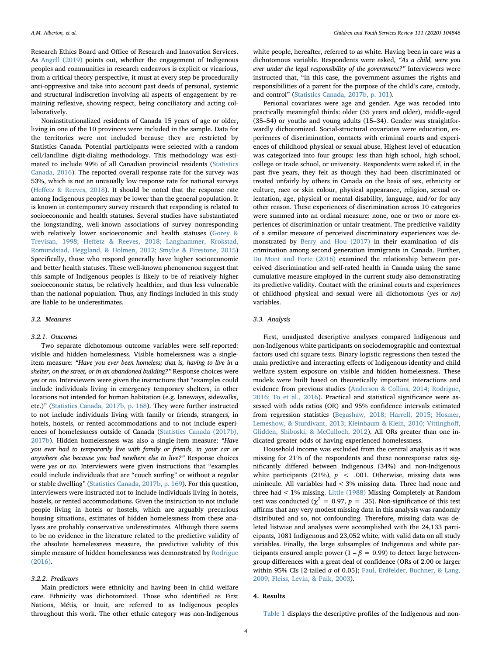Research Ethics Board and Office of Research and Innovation Services. As [Angell \(2019\)](#page-7-13) points out, whether the engagement of Indigenous peoples and communities in research endeavors is explicit or vicarious, from a critical theory perspective, it must at every step be procedurally anti-oppressive and take into account past deeds of personal, systemic and structural indiscretion involving all aspects of engagement by remaining reflexive, showing respect, being conciliatory and acting collaboratively.

Noninstitutionalized residents of Canada 15 years of age or older, living in one of the 10 provinces were included in the sample. Data for the territories were not included because they are restricted by Statistics Canada. Potential participants were selected with a random cell/landline digit-dialing methodology. This methodology was estimated to include 99% of all Canadian provincial residents [\(Statistics](#page-8-16) [Canada, 2016\)](#page-8-16). The reported overall response rate for the survey was 53%, which is not an unusually low response rate for national surveys (Heff[etz & Reeves, 2018](#page-7-16)). It should be noted that the response rate among Indigenous peoples may be lower than the general population. It is known in contemporary survey research that responding is related to socioeconomic and health statuses. Several studies have substantiated the longstanding, well-known associations of survey nonresponding with relatively lower socioeconomic and health statuses [\(Gorey &](#page-7-17) Trevisan, 1998; Heff[etz & Reeves, 2018; Langhammer, Krokstad,](#page-7-17) [Romundstad, Heggland, & Holmen, 2012; Smylie & Firestone, 2015\)](#page-7-17) Specifically, those who respond generally have higher socioeconomic and better health statuses. These well-known phenomenon suggest that this sample of Indigenous peoples is likely to be of relatively higher socioeconomic status, be relatively healthier, and thus less vulnerable than the national population. Thus, any findings included in this study are liable to be underestimates.

## 3.2. Measures

#### 3.2.1. Outcomes

Two separate dichotomous outcome variables were self-reported: visible and hidden homelessness. Visible homelessness was a singleitem measure: "Have you ever been homeless; that is, having to live in a shelter, on the street, or in an abandoned building?" Response choices were yes or no. Interviewers were given the instructions that "examples could include individuals living in emergency temporary shelters, in other locations not intended for human habitation (e.g. laneways, sidewalks, etc.)" ([Statistics Canada, 2017b, p. 168\)](#page-8-17). They were further instructed to not include individuals living with family or friends, strangers, in hotels, hostels, or rented accommodations and to not include experiences of homelessness outside of Canada ([Statistics Canada \(2017b\),](#page-8-17) [2017b\)](#page-8-17). Hidden homelessness was also a single-item measure: "Have you ever had to temporarily live with family or friends, in your car or anywhere else because you had nowhere else to live?" Response choices were yes or no. Interviewers were given instructions that "examples could include individuals that are "couch surfing" or without a regular or stable dwelling" (Statistics [Canada, 2017b, p. 169\)](#page-8-17). For this question, interviewers were instructed not to include individuals living in hotels, hostels, or rented accommodations. Given the instruction to not include people living in hotels or hostels, which are arguably precarious housing situations, estimates of hidden homelessness from these analyses are probably conservative underestimates. Although there seems to be no evidence in the literature related to the predictive validity of the absolute homelessness measure, the predictive validity of this simple measure of hidden homelessness was demonstrated by [Rodrigue](#page-8-13) [\(2016\).](#page-8-13)

### 3.2.2. Predictors

Main predictors were ethnicity and having been in child welfare care. Ethnicity was dichotomized. Those who identified as First Nations, Métis, or Inuit, are referred to as Indigenous peoples throughout this work. The other ethnic category was non-Indigenous

white people, hereafter, referred to as white. Having been in care was a dichotomous variable. Respondents were asked, "As a child, were you ever under the legal responsibility of the government?" Interviewers were instructed that, "in this case, the government assumes the rights and responsibilities of a parent for the purpose of the child's care, custody, and control" ([Statistics Canada, 2017b, p. 101\)](#page-8-17).

Personal covariates were age and gender. Age was recoded into practically meaningful thirds: older (55 years and older), middle-aged (35–54) or youths and young adults (15–34). Gender was straightforwardly dichotomized. Social-structural covariates were education, experiences of discrimination, contacts with criminal courts and experiences of childhood physical or sexual abuse. Highest level of education was categorized into four groups: less than high school, high school, college or trade school, or university. Respondents were asked if, in the past five years, they felt as though they had been discriminated or treated unfairly by others in Canada on the basis of sex, ethnicity or culture, race or skin colour, physical appearance, religion, sexual orientation, age, physical or mental disability, language, and/or for any other reason. These experiences of discrimination across 10 categories were summed into an ordinal measure: none, one or two or more experiences of discrimination or unfair treatment. The predictive validity of a similar measure of perceived discriminatory experiences was demonstrated by [Berry and Hou \(2017\)](#page-7-18) in their examination of discrimination among second generation immigrants in Canada. Further, [Du Mont and Forte \(2016\)](#page-7-19) examined the relationship between perceived discrimination and self-rated health in Canada using the same cumulative measure employed in the current study also demonstrating its predictive validity. Contact with the criminal courts and experiences of childhood physical and sexual were all dichotomous (yes or no) variables.

## 3.3. Analysis

First, unadjusted descriptive analyses compared Indigenous and non-Indigenous white participants on sociodemographic and contextual factors used chi square tests. Binary logistic regressions then tested the main predictive and interacting effects of Indigenous identity and child welfare system exposure on visible and hidden homelessness. These models were built based on theoretically important interactions and evidence from previous studies ([Anderson & Collins, 2014; Rodrigue,](#page-7-0) [2016; To et al., 2016](#page-7-0)). Practical and statistical significance were assessed with odds ratios (OR) and 95% confidence intervals estimated from regression statistics ([Begashaw, 2018; Harrell, 2015; Hosmer,](#page-7-20) [Lemeshow, & Sturdivant, 2013; Kleinbaum & Klein, 2010; Vittingho](#page-7-20)ff, [Glidden, Shiboski, & McCulloch, 2012](#page-7-20)). All ORs greater than one indicated greater odds of having experienced homelessness.

Household income was excluded from the central analysis as it was missing for 21% of the respondents and these nonresponse rates significantly differed between Indigenous (34%) and non-Indigenous white participants (21%),  $p < .001$ . Otherwise, missing data was miniscule. All variables had < 3% missing data. Three had none and three had < 1% missing. [Little \(1988\)](#page-8-18) Missing Completely at Random test was conducted ( $\chi^2 = 0.97$ ,  $p = .35$ ). Non-significance of this test affirms that any very modest missing data in this analysis was randomly distributed and so, not confounding. Therefore, missing data was deleted listwise and analyses were accomplished with the 24,133 participants, 1081 Indigenous and 23,052 white, with valid data on all study variables. Finally, the large subsamples of Indigenous and white participants ensured ample power  $(1 - \beta = 0.99)$  to detect large betweengroup differences with a great deal of confidence (ORs of 2.00 or larger within 95% CIs [2-tailed  $\alpha$  of 0.05]; [Faul, Erdfelder, Buchner, & Lang,](#page-7-21) [2009; Fleiss, Levin, & Paik, 2003](#page-7-21)).

### 4. Results

[Table 1](#page-4-0) displays the descriptive profiles of the Indigenous and non-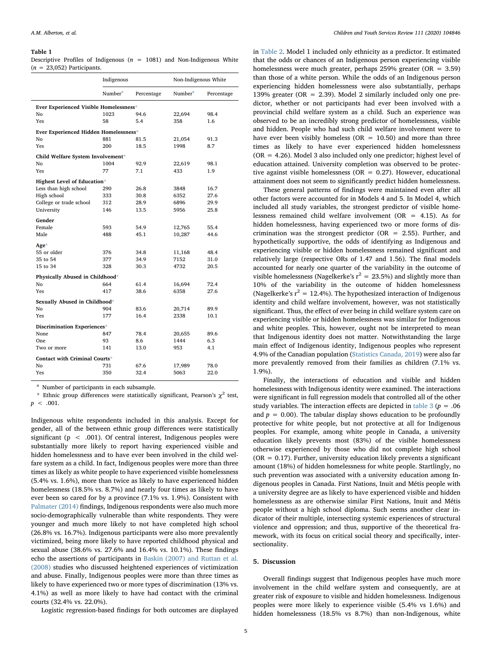#### <span id="page-4-0"></span>Table 1

Descriptive Profiles of Indigenous ( $n = 1081$ ) and Non-Indigenous White  $(n = 23.052)$  Participants.

|                                        | Indigenous          |            | Non-Indigenous White |            |  |  |  |  |
|----------------------------------------|---------------------|------------|----------------------|------------|--|--|--|--|
|                                        | Number <sup>a</sup> | Percentage | Number <sup>a</sup>  | Percentage |  |  |  |  |
| Ever Experienced Visible Homelessness* |                     |            |                      |            |  |  |  |  |
| No                                     | 1023                | 94.6       | 22,694               | 98.4       |  |  |  |  |
| Yes                                    | 58                  | 5.4        | 358                  | 1.6        |  |  |  |  |
| Ever Experienced Hidden Homelessness*  |                     |            |                      |            |  |  |  |  |
| No                                     | 881                 | 81.5       | 21,054               | 91.3       |  |  |  |  |
| Yes                                    | 200                 | 18.5       | 1998                 | 8.7        |  |  |  |  |
| Child Welfare System Involvement*      |                     |            |                      |            |  |  |  |  |
| No                                     | 1004                | 92.9       | 22,619               | 98.1       |  |  |  |  |
| Yes                                    | 77                  | 7.1        | 433                  | 1.9        |  |  |  |  |
| <b>Highest Level of Education*</b>     |                     |            |                      |            |  |  |  |  |
| Less than high school                  | 290                 | 26.8       | 3848                 | 16.7       |  |  |  |  |
| High school                            | 333                 | 30.8       | 6352                 | 27.6       |  |  |  |  |
| College or trade school                | 312                 | 28.9       | 6896                 | 29.9       |  |  |  |  |
| University                             | 146                 | 13.5       | 5956                 | 25.8       |  |  |  |  |
| Gender                                 |                     |            |                      |            |  |  |  |  |
| Female                                 | 593                 | 54.9       | 12,765               | 55.4       |  |  |  |  |
| Male                                   | 488                 | 45.1       | 10,287               | 44.6       |  |  |  |  |
| Age*                                   |                     |            |                      |            |  |  |  |  |
| 55 or older                            | 376                 | 34.8       | 11,168               | 48.4       |  |  |  |  |
| 35 to 54                               | 377                 | 34.9       | 7152                 | 31.0       |  |  |  |  |
| 15 to 34                               | 328                 | 30.3       | 4732                 | 20.5       |  |  |  |  |
| Physically Abused in Childhood*        |                     |            |                      |            |  |  |  |  |
| No                                     | 664                 | 61.4       | 16,694               | 72.4       |  |  |  |  |
| Yes                                    | 417                 | 38.6       | 6358                 | 27.6       |  |  |  |  |
| Sexually Abused in Childhood*          |                     |            |                      |            |  |  |  |  |
| No                                     | 904                 | 83.6       | 20,714               | 89.9       |  |  |  |  |
| Yes                                    | 177                 | 16.4       | 2338                 | 10.1       |  |  |  |  |
| Discrimination Experiences*            |                     |            |                      |            |  |  |  |  |
| None                                   | 847                 | 78.4       | 20,655               | 89.6       |  |  |  |  |
| One                                    | 93                  | 8.6        | 1444                 | 6.3        |  |  |  |  |
| Two or more                            | 141                 | 13.0       | 953                  | 4.1        |  |  |  |  |
| Contact with Criminal Courts*          |                     |            |                      |            |  |  |  |  |
| No                                     | 731                 | 67.6       | 17,989               | 78.0       |  |  |  |  |
| Yes                                    | 350                 | 32.4       | 5063                 | 22.0       |  |  |  |  |

<span id="page-4-1"></span><sup>a</sup> Number of participants in each subsample.

<span id="page-4-2"></span>\* Ethnic group differences were statistically significant, Pearson's  $\chi^2$  test,  $p < .001$ .

Indigenous white respondents included in this analysis. Except for gender, all of the between ethnic group differences were statistically significant ( $p < .001$ ). Of central interest, Indigenous peoples were substantially more likely to report having experienced visible and hidden homelessness and to have ever been involved in the child welfare system as a child. In fact, Indigenous peoples were more than three times as likely as white people to have experienced visible homelessness (5.4% vs. 1.6%), more than twice as likely to have experienced hidden homelessness (18.5% vs. 8.7%) and nearly four times as likely to have ever been so cared for by a province (7.1% vs. 1.9%). Consistent with [Palmater \(2014\)](#page-8-19) findings, Indigenous respondents were also much more socio-demographically vulnerable than white respondents. They were younger and much more likely to not have completed high school (26.8% vs. 16.7%). Indigenous participants were also more prevalently victimized, being more likely to have reported childhood physical and sexual abuse (38.6% vs. 27.6% and 16.4% vs. 10.1%). These findings echo the assertions of participants in [Baskin \(2007\) and Ruttan et al.](#page-7-8) [\(2008\)](#page-7-8) studies who discussed heightened experiences of victimization and abuse. Finally, Indigenous peoples were more than three times as likely to have experienced two or more types of discrimination (13% vs. 4.1%) as well as more likely to have had contact with the criminal courts (32.4% vs. 22.0%).

Logistic regression-based findings for both outcomes are displayed

in [Table 2](#page-5-0). Model 1 included only ethnicity as a predictor. It estimated that the odds or chances of an Indigenous person experiencing visible homelessness were much greater, perhaps 259% greater (OR = 3.59) than those of a white person. While the odds of an Indigenous person experiencing hidden homelessness were also substantially, perhaps 139% greater (OR = 2.39). Model 2 similarly included only one predictor, whether or not participants had ever been involved with a provincial child welfare system as a child. Such an experience was observed to be an incredibly strong predictor of homelessness, visible and hidden. People who had such child welfare involvement were to have ever been visibly homeless ( $OR = 10.50$ ) and more than three times as likely to have ever experienced hidden homelessness  $(OR = 4.26)$ . Model 3 also included only one predictor; highest level of education attained. University completion was observed to be protective against visible homelessness (OR =  $0.27$ ). However, educational attainment does not seem to significantly predict hidden homelessness.

These general patterns of findings were maintained even after all other factors were accounted for in Models 4 and 5. In Model 4, which included all study variables, the strongest predictor of visible homelessness remained child welfare involvement ( $OR = 4.15$ ). As for hidden homelessness, having experienced two or more forms of discrimination was the strongest predictor (OR =  $2.55$ ). Further, and hypothetically supportive, the odds of identifying as Indigenous and experiencing visible or hidden homelessness remained significant and relatively large (respective ORs of 1.47 and 1.56). The final models accounted for nearly one quarter of the variability in the outcome of visible homelessness (Nagelkerke's  $r^2 = 23.5\%$ ) and slightly more than 10% of the variability in the outcome of hidden homelessness (Nagelkerke's  $r^2 = 12.4\%$ ). The hypothesized interaction of Indigenous identity and child welfare involvement, however, was not statistically significant. Thus, the effect of ever being in child welfare system care on experiencing visible or hidden homelessness was similar for Indigenous and white peoples. This, however, ought not be interpreted to mean that Indigenous identity does not matter. Notwithstanding the large main effect of Indigenous identity, Indigenous peoples who represent 4.9% of the Canadian population ([Statistics Canada, 2019](#page-8-20)) were also far more prevalently removed from their families as children (7.1% vs. 1.9%).

Finally, the interactions of education and visible and hidden homelessness with Indigenous identity were examined. The interactions were significant in full regression models that controlled all of the other study variables. The interaction effects are depicted in table  $3 (p = .06$ and  $p = 0.00$ ). The tabular display shows education to be profoundly protective for white people, but not protective at all for Indigenous peoples. For example, among white people in Canada, a university education likely prevents most (83%) of the visible homelessness otherwise experienced by those who did not complete high school  $(OR = 0.17)$ . Further, university education likely prevents a significant amount (18%) of hidden homelessness for white people. Startlingly, no such prevention was associated with a university education among Indigenous peoples in Canada. First Nations, Inuit and Métis people with a university degree are as likely to have experienced visible and hidden homelessness as are otherwise similar First Nations, Inuit and Métis people without a high school diploma. Such seems another clear indicator of their multiple, intersecting systemic experiences of structural violence and oppression; and thus, supportive of the theoretical framework, with its focus on critical social theory and specifically, intersectionality.

## 5. Discussion

Overall findings suggest that Indigenous peoples have much more involvement in the child welfare system and consequently, are at greater risk of exposure to visible and hidden homelessness. Indigenous peoples were more likely to experience visible (5.4% vs 1.6%) and hidden homelessness (18.5% vs 8.7%) than non-Indigenous, white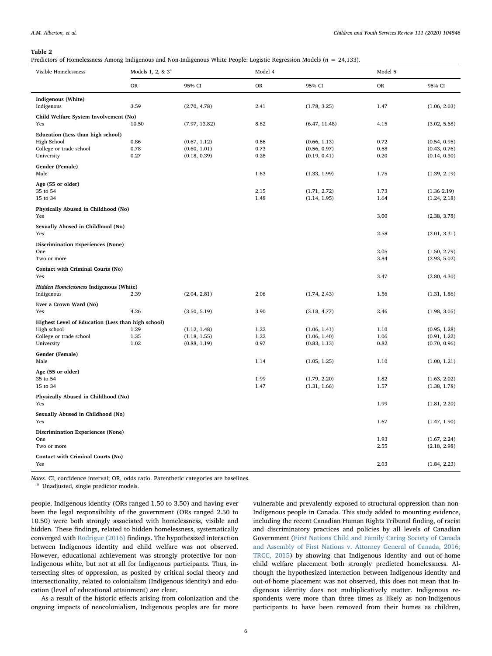#### <span id="page-5-0"></span>Table 2

Predictors of Homelessness Among Indigenous and Non-Indigenous White People: Logistic Regression Models (n = 24,133).

| Visible Homelessness                                                                                       | Models 1, 2, & $3^a$ |                                              | Model 4              |                                              | Model 5              |                                              |
|------------------------------------------------------------------------------------------------------------|----------------------|----------------------------------------------|----------------------|----------------------------------------------|----------------------|----------------------------------------------|
|                                                                                                            | <b>OR</b>            | 95% CI                                       | <b>OR</b>            | 95% CI                                       | <b>OR</b>            | 95% CI                                       |
| Indigenous (White)<br>Indigenous                                                                           | 3.59                 | (2.70, 4.78)                                 | 2.41                 | (1.78, 3.25)                                 | 1.47                 | (1.06, 2.03)                                 |
| Child Welfare System Involvement (No)<br>Yes                                                               | 10.50                | (7.97, 13.82)                                | 8.62                 | (6.47, 11.48)                                | 4.15                 | (3.02, 5.68)                                 |
| Education (Less than high school)<br>High School<br>College or trade school<br>University                  | 0.86<br>0.78<br>0.27 | (0.67, 1.12)<br>(0.60, 1.01)<br>(0.18, 0.39) | 0.86<br>0.73<br>0.28 | (0.66, 1.13)<br>(0.56, 0.97)<br>(0.19, 0.41) | 0.72<br>0.58<br>0.20 | (0.54, 0.95)<br>(0.43, 0.76)<br>(0.14, 0.30) |
| Gender (Female)<br>Male                                                                                    |                      |                                              | 1.63                 | (1.33, 1.99)                                 | 1.75                 | (1.39, 2.19)                                 |
| Age (55 or older)<br>35 to 54<br>15 to 34<br>Physically Abused in Childhood (No)                           |                      |                                              | 2.15<br>1.48         | (1.71, 2.72)<br>(1.14, 1.95)                 | 1.73<br>1.64         | (1.36 2.19)<br>(1.24, 2.18)                  |
| Yes<br>Sexually Abused in Childhood (No)                                                                   |                      |                                              |                      |                                              | 3.00                 | (2.38, 3.78)                                 |
| Yes                                                                                                        |                      |                                              |                      |                                              | 2.58                 | (2.01, 3.31)                                 |
| Discrimination Experiences (None)<br>One<br>Two or more                                                    |                      |                                              |                      |                                              | 2.05<br>3.84         | (1.50, 2.79)<br>(2.93, 5.02)                 |
| Contact with Criminal Courts (No)<br>Yes                                                                   |                      |                                              |                      |                                              | 3.47                 | (2.80, 4.30)                                 |
| Hidden Homelessness Indigenous (White)<br>Indigenous                                                       | 2.39                 | (2.04, 2.81)                                 | 2.06                 | (1.74, 2.43)                                 | 1.56                 | (1.31, 1.86)                                 |
| Ever a Crown Ward (No)<br>Yes                                                                              | 4.26                 | (3.50, 5.19)                                 | 3.90                 | (3.18, 4.77)                                 | 2.46                 | (1.98, 3.05)                                 |
| Highest Level of Education (Less than high school)<br>High school<br>College or trade school<br>University | 1.29<br>1.35<br>1.02 | (1.12, 1.48)<br>(1.18, 1.55)<br>(0.88, 1.19) | 1.22<br>1.22<br>0.97 | (1.06, 1.41)<br>(1.06, 1.40)<br>(0.83, 1.13) | 1.10<br>1.06<br>0.82 | (0.95, 1.28)<br>(0.91, 1.22)<br>(0.70, 0.96) |
| Gender (Female)<br>Male                                                                                    |                      |                                              | 1.14                 | (1.05, 1.25)                                 | 1.10                 | (1.00, 1.21)                                 |
| Age (55 or older)<br>35 to 54<br>15 to 34                                                                  |                      |                                              | 1.99<br>1.47         | (1.79, 2.20)<br>(1.31, 1.66)                 | 1.82<br>1.57         | (1.63, 2.02)<br>(1.38, 1.78)                 |
| Physically Abused in Childhood (No)<br>Yes                                                                 |                      |                                              |                      |                                              | 1.99                 | (1.81, 2.20)                                 |
| Sexually Abused in Childhood (No)<br>Yes                                                                   |                      |                                              |                      |                                              | 1.67                 | (1.47, 1.90)                                 |
| Discrimination Experiences (None)<br>One<br>Two or more                                                    |                      |                                              |                      |                                              | 1.93<br>2.55         | (1.67, 2.24)<br>(2.18, 2.98)                 |
| Contact with Criminal Courts (No)<br>Yes                                                                   |                      |                                              |                      |                                              | 2.03                 | (1.84, 2.23)                                 |

Notes. CI, confidence interval; OR, odds ratio. Parenthetic categories are baselines.

<span id="page-5-1"></span><sup>a</sup> Unadjusted, single predictor models.

people. Indigenous identity (ORs ranged 1.50 to 3.50) and having ever been the legal responsibility of the government (ORs ranged 2.50 to 10.50) were both strongly associated with homelessness, visible and hidden. These findings, related to hidden homelessness, systematically converged with [Rodrigue \(2016\)](#page-8-13) findings. The hypothesized interaction between Indigenous identity and child welfare was not observed. However, educational achievement was strongly protective for non-Indigenous white, but not at all for Indigenous participants. Thus, intersecting sites of oppression, as posited by critical social theory and intersectionality, related to colonialism (Indigenous identity) and education (level of educational attainment) are clear.

As a result of the historic effects arising from colonization and the ongoing impacts of neocolonialism, Indigenous peoples are far more

vulnerable and prevalently exposed to structural oppression than non-Indigenous people in Canada. This study added to mounting evidence, including the recent Canadian Human Rights Tribunal finding, of racist and discriminatory practices and policies by all levels of Canadian Government ([First Nations Child and Family Caring Society of Canada](#page-7-22) [and Assembly of First Nations v. Attorney General of Canada, 2016;](#page-7-22) [TRCC, 2015\)](#page-7-22) by showing that Indigenous identity and out-of-home child welfare placement both strongly predicted homelessness. Although the hypothesized interaction between Indigenous identity and out-of-home placement was not observed, this does not mean that Indigenous identity does not multiplicatively matter. Indigenous respondents were more than three times as likely as non-Indigenous participants to have been removed from their homes as children,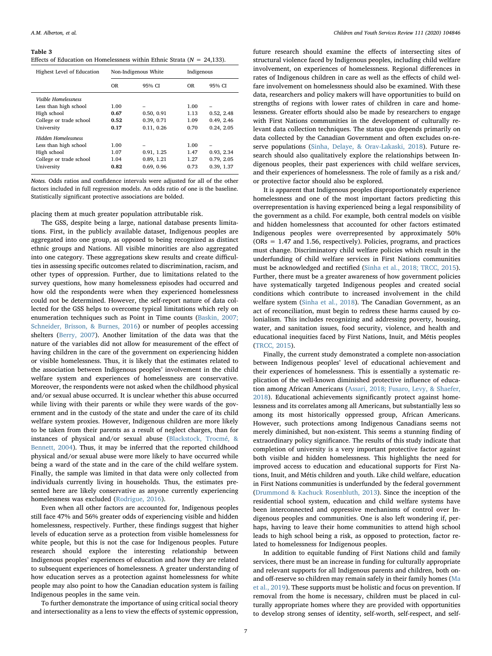#### <span id="page-6-0"></span>Table 3

Effects of Education on Homelessness within Ethnic Strata ( $N = 24,133$ ).

| Highest Level of Education | Non-Indigenous White |            | Indigenous |            |
|----------------------------|----------------------|------------|------------|------------|
|                            | <b>OR</b>            | 95% CI     | <b>OR</b>  | 95% CI     |
| Visible Homelessness       |                      |            |            |            |
| Less than high school      | 1.00                 |            | 1.00       |            |
| High school                | 0.67                 | 0.50, 0.91 | 1.13       | 0.52, 2.48 |
| College or trade school    | 0.52                 | 0.39, 0.71 | 1.09       | 0.49, 2.46 |
| University                 | 0.17                 | 0.11, 0.26 | 0.70       | 0.24, 2.05 |
| <b>Hidden Homelessness</b> |                      |            |            |            |
| Less than high school      | 1.00                 |            | 1.00       |            |
| High school                | 1.07                 | 0.91, 1.25 | 1.47       | 0.93, 2.34 |
| College or trade school    | 1.04                 | 0.89, 1.21 | 1.27       | 0.79, 2.05 |
| University                 | 0.82                 | 0.69, 0.96 | 0.73       | 0.39, 1.37 |

Notes. Odds ratios and confidence intervals were adjusted for all of the other factors included in full regression models. An odds ratio of one is the baseline. Statistically significant protective associations are bolded.

placing them at much greater population attributable risk.

The GSS, despite being a large, national database presents limitations. First, in the publicly available dataset, Indigenous peoples are aggregated into one group, as opposed to being recognized as distinct ethnic groups and Nations. All visible minorities are also aggregated into one category. These aggregations skew results and create difficulties in assessing specific outcomes related to discrimination, racism, and other types of oppression. Further, due to limitations related to the survey questions, how many homelessness episodes had occurred and how old the respondents were when they experienced homelessness could not be determined. However, the self-report nature of data collected for the GSS helps to overcome typical limitations which rely on enumeration techniques such as Point in Time counts ([Baskin, 2007;](#page-7-8) [Schneider, Brisson, & Burnes, 2016\)](#page-7-8) or number of peoples accessing shelters ([Berry, 2007](#page-7-23)). Another limitation of the data was that the nature of the variables did not allow for measurement of the effect of having children in the care of the government on experiencing hidden or visible homelessness. Thus, it is likely that the estimates related to the association between Indigenous peoples' involvement in the child welfare system and experiences of homelessness are conservative. Moreover, the respondents were not asked when the childhood physical and/or sexual abuse occurred. It is unclear whether this abuse occurred while living with their parents or while they were wards of the government and in the custody of the state and under the care of its child welfare system proxies. However, Indigenous children are more likely to be taken from their parents as a result of neglect charges, than for instances of physical and/or sexual abuse ([Blackstock, Trocmé, &](#page-7-24) [Bennett, 2004](#page-7-24)). Thus, it may be inferred that the reported childhood physical and/or sexual abuse were more likely to have occurred while being a ward of the state and in the care of the child welfare system. Finally, the sample was limited in that data were only collected from individuals currently living in households. Thus, the estimates presented here are likely conservative as anyone currently experiencing homelessness was excluded [\(Rodrigue, 2016](#page-8-13)).

Even when all other factors are accounted for, Indigenous peoples still face 47% and 56% greater odds of experiencing visible and hidden homelessness, respectively. Further, these findings suggest that higher levels of education serve as a protection from visible homelessness for white people, but this is not the case for Indigenous peoples. Future research should explore the interesting relationship between Indigenous peoples' experiences of education and how they are related to subsequent experiences of homelessness. A greater understanding of how education serves as a protection against homelessness for white people may also point to how the Canadian education system is failing Indigenous peoples in the same vein.

To further demonstrate the importance of using critical social theory and intersectionality as a lens to view the effects of systemic oppression,

future research should examine the effects of intersecting sites of structural violence faced by Indigenous peoples, including child welfare involvement, on experiences of homelessness. Regional differences in rates of Indigenous children in care as well as the effects of child welfare involvement on homelessness should also be examined. With these data, researchers and policy makers will have opportunities to build on strengths of regions with lower rates of children in care and homelessness. Greater efforts should also be made by researchers to engage with First Nations communities in the development of culturally relevant data collection techniques. The status quo depends primarily on data collected by the Canadian Government and often excludes on-reserve populations ([Sinha, Delaye, & Orav-Lakaski, 2018](#page-8-21)). Future research should also qualitatively explore the relationships between Indigenous peoples, their past experiences with child welfare services, and their experiences of homelessness. The role of family as a risk and/ or protective factor should also be explored.

It is apparent that Indigenous peoples disproportionately experience homelessness and one of the most important factors predicting this overrepresentation is having experienced being a legal responsibility of the government as a child. For example, both central models on visible and hidden homelessness that accounted for other factors estimated Indigenous peoples were overrepresented by approximately 50% (ORs = 1.47 and 1.56, respectively). Policies, programs, and practices must change. Discriminatory child welfare policies which result in the underfunding of child welfare services in First Nations communities must be acknowledged and rectified [\(Sinha et al., 2018; TRCC, 2015](#page-8-21)). Further, there must be a greater awareness of how government policies have systematically targeted Indigenous peoples and created social conditions which contribute to increased involvement in the child welfare system ([Sinha et al., 2018\)](#page-8-21). The Canadian Government, as an act of reconciliation, must begin to redress these harms caused by colonialism. This includes recognizing and addressing poverty, housing, water, and sanitation issues, food security, violence, and health and educational inequities faced by First Nations, Inuit, and Métis peoples ([TRCC, 2015](#page-8-22)).

Finally, the current study demonstrated a complete non-association between Indigenous peoples' level of educational achievement and their experiences of homelessness. This is essentially a systematic replication of the well-known diminished protective influence of education among African Americans [\(Assari, 2018; Fusaro, Levy, & Shaefer,](#page-7-25) [2018\)](#page-7-25). Educational achievements significantly protect against homelessness and its correlates among all Americans, but substantially less so among its most historically oppressed group, African Americans. However, such protections among Indigenous Canadians seems not merely diminished, but non-existent. This seems a stunning finding of extraordinary policy significance. The results of this study indicate that completion of university is a very important protective factor against both visible and hidden homelessness. This highlights the need for improved access to education and educational supports for First Nations, Inuit, and Métis children and youth. Like child welfare, education in First Nations communities is underfunded by the federal government ([Drummond & Kachuck Rosenbluth, 2013\)](#page-7-26). Since the inception of the residential school system, education and child welfare systems have been interconnected and oppressive mechanisms of control over Indigenous peoples and communities. One is also left wondering if, perhaps, having to leave their home communities to attend high school leads to high school being a risk, as opposed to protection, factor related to homelessness for Indigenous peoples.

In addition to equitable funding of First Nations child and family services, there must be an increase in funding for culturally appropriate and relevant supports for all Indigenous parents and children, both onand off-reserve so children may remain safely in their family homes ([Ma](#page-8-23) [et al., 2019\)](#page-8-23). These supports must be holistic and focus on prevention. If removal from the home is necessary, children must be placed in culturally appropriate homes where they are provided with opportunities to develop strong senses of identity, self-worth, self-respect, and self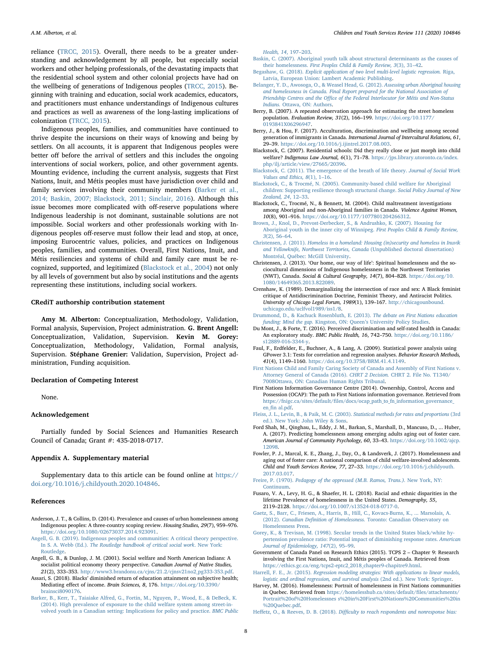reliance ([TRCC, 2015\)](#page-8-22). Overall, there needs to be a greater understanding and acknowledgement by all people, but especially social workers and other helping professionals, of the devastating impacts that the residential school system and other colonial projects have had on the wellbeing of generations of Indigenous peoples [\(TRCC, 2015](#page-8-22)). Beginning with training and education, social work academics, educators, and practitioners must enhance understandings of Indigenous cultures and practices as well as awareness of the long-lasting implications of colonization ([TRCC, 2015](#page-8-22)).

Indigenous peoples, families, and communities have continued to thrive despite the incursions on their ways of knowing and being by settlers. On all accounts, it is apparent that Indigenous peoples were better off before the arrival of settlers and this includes the ongoing interventions of social workers, police, and other government agents. Mounting evidence, including the current analysis, suggests that First Nations, Inuit, and Métis peoples must have jurisdiction over child and family services involving their community members [\(Barker et al.,](#page-7-27) [2014; Baskin, 2007; Blackstock, 2011; Sinclair, 2016\)](#page-7-27). Although this issue becomes more complicated with off-reserve populations where Indigenous leadership is not dominant, sustainable solutions are not impossible. Social workers and other professionals working with Indigenous peoples off-reserve must follow their lead and stop, at once, imposing Eurocentric values, policies, and practices on Indigenous peoples, families, and communities. Overall, First Nations, Inuit, and Métis resiliencies and systems of child and family care must be recognized, supported, and legitimized ([Blackstock et al., 2004\)](#page-7-24) not only by all levels of government but also by social institutions and the agents representing these institutions, including social workers.

## CRediT authorship contribution statement

Amy M. Alberton: Conceptualization, Methodology, Validation, Formal analysis, Supervision, Project administration. G. Brent Angell: Conceptualization, Validation, Supervision. Kevin M. Gorey: Conceptualization, Methodology, Validation, Formal analysis, Supervision. Stéphane Grenier: Validation, Supervision, Project administration, Funding acquisition.

## Declaration of Competing Interest

None.

#### Acknowledgement

Partially funded by Social Sciences and Humanities Research Council of Canada; Grant #: 435-2018-0717.

#### Appendix A. Supplementary material

Supplementary data to this article can be found online at [https://](https://doi.org/10.1016/j.childyouth.2020.104846) [doi.org/10.1016/j.childyouth.2020.104846.](https://doi.org/10.1016/j.childyouth.2020.104846)

#### References

- <span id="page-7-0"></span>Anderson, J. T., & Collins, D. (2014). Prevalence and causes of urban homelessness among Indigenous peoples: A three-country scoping review. Housing Studies, 29(7), 959–976. [https://doi.org/10.1080/02673037.2014.923091.](https://doi.org/10.1080/02673037.2014.923091)
- <span id="page-7-13"></span>[Angell, G. B. \(2019\). Indigenous peoples and communities: A critical theory perspective.](http://refhub.elsevier.com/S0190-7409(19)31265-4/h0010) In S. A. Webb (Ed.). [The Routledge handbook of critical social work](http://refhub.elsevier.com/S0190-7409(19)31265-4/h0010). New York: [Routledge](http://refhub.elsevier.com/S0190-7409(19)31265-4/h0010).
- <span id="page-7-11"></span>Angell, G. B., & Dunlop, J. M. (2001). Social welfare and North American Indians: A socialist political economy theory perspective. Canadian Journal of Native Studies, 21(2), 333–353. [http://www3.brandonu.ca/cjns/21.2/cjnsv21no2\\_pg333-353.pdf](http://www3.brandonu.ca/cjns/21.2/cjnsv21no2_pg333-353.pdf).
- <span id="page-7-25"></span>Assari, S. (2018). Blacks' diminished return of education attainment on subjective health; Mediating effect of income. Brain Sciences, 8, 176. [https://doi.org/10.3390/](https://doi.org/10.3390/brainsci8090176) [brainsci8090176.](https://doi.org/10.3390/brainsci8090176)
- <span id="page-7-27"></span>[Barker, B., Kerr, T., Taiaiake Alfred, G., Fortin, M., Nguyen, P., Wood, E., & DeBeck, K.](http://refhub.elsevier.com/S0190-7409(19)31265-4/h0025) [\(2014\). High prevalence of exposure to the child welfare system among street-in](http://refhub.elsevier.com/S0190-7409(19)31265-4/h0025)[volved youth in a Canadian setting: Implications for policy and practice.](http://refhub.elsevier.com/S0190-7409(19)31265-4/h0025) BMC Public

[Health, 14](http://refhub.elsevier.com/S0190-7409(19)31265-4/h0025), 197–203.

- <span id="page-7-8"></span>[Baskin, C. \(2007\). Aboriginal youth talk about structural determinants as the causes of](http://refhub.elsevier.com/S0190-7409(19)31265-4/h0030) their homelessness. [First Peoples Child & Family Review, 3](http://refhub.elsevier.com/S0190-7409(19)31265-4/h0030)(3), 31–42.
- <span id="page-7-20"></span>Begashaw, G. (2018). [Explicit application of two level multi-level logistic regression.](http://refhub.elsevier.com/S0190-7409(19)31265-4/h0035) Riga, [Latvia, European Union: Lambert Academic Publishing.](http://refhub.elsevier.com/S0190-7409(19)31265-4/h0035)
- <span id="page-7-7"></span>[Belanger, Y. D., Awosoga, O., & Weasel Head, G. \(2012\).](http://refhub.elsevier.com/S0190-7409(19)31265-4/h0040) Assessing urban Aboriginal housing [and homelessness in Canada. Final Report prepared for the National Association of](http://refhub.elsevier.com/S0190-7409(19)31265-4/h0040) Friendship Centres and the Offi[ce of the Federal Interlocutor for Métis and Non-Status](http://refhub.elsevier.com/S0190-7409(19)31265-4/h0040) Indians. [Ottawa, ON: Authors.](http://refhub.elsevier.com/S0190-7409(19)31265-4/h0040)
- <span id="page-7-23"></span>Berry, B. (2007). A repeated observation approach for estimating the street homeless population. Evaluation Review, 31(2), 166–199. [https://doi.org/10.1177/](https://doi.org/10.1177/0193841X06296947) [0193841X06296947](https://doi.org/10.1177/0193841X06296947).
- <span id="page-7-18"></span>Berry, J., & Hou, F. (2017). Acculturation, discrimination and wellbeing among second generation of immigrants in Canada. International Journal of Intercultural Relations, 61, 29–39. <https://doi.org/10.1016/j.ijintrel.2017.08.003>.
- <span id="page-7-1"></span>Blackstock, C. (2007). Residential schools: Did they really close or just morph into child welfare? Indigenous Law Journal, 6(1), 71-78. [https://jps.library.utoronto.ca/index.](https://jps.library.utoronto.ca/index.php/ilj/article/view/27665/20396) [php/ilj/article/view/27665/20396.](https://jps.library.utoronto.ca/index.php/ilj/article/view/27665/20396)
- [Blackstock, C. \(2011\). The emergence of the breath of life theory.](http://refhub.elsevier.com/S0190-7409(19)31265-4/h0060) Journal of Social Work [Values and Ethics, 8](http://refhub.elsevier.com/S0190-7409(19)31265-4/h0060)(1), 1–16.
- <span id="page-7-2"></span>[Blackstock, C., & Trocmé, N. \(2005\). Community-based child welfare for Aboriginal](http://refhub.elsevier.com/S0190-7409(19)31265-4/h0065) [children: Supporting resilience through structural change.](http://refhub.elsevier.com/S0190-7409(19)31265-4/h0065) Social Policy Journal of New [Zealand, 24](http://refhub.elsevier.com/S0190-7409(19)31265-4/h0065), 12–33.
- <span id="page-7-24"></span>Blackstock, C., Trocmé, N., & Bennett, M. (2004). Child maltreatment investigations among Aboriginal and non-Aboriginal families in Canada. Violence Against Women, 10(8), 901–916. [https://doi.org/10.1177/1077801204266312.](https://doi.org/10.1177/1077801204266312)
- <span id="page-7-6"></span>[Brown, J., Knol, D., Prevost-Derbecker, S., & Andrushko, K. \(2007\). Housing for](http://refhub.elsevier.com/S0190-7409(19)31265-4/h0075) [Aboriginal youth in the inner city of Winnipeg.](http://refhub.elsevier.com/S0190-7409(19)31265-4/h0075) First Peoples Child & Family Review, 3[\(2\), 56](http://refhub.elsevier.com/S0190-7409(19)31265-4/h0075)–64.
- Christensen, J. (2011). [Homeless in a homeland: Housing \(in\)security and homeless in Inuvik](http://refhub.elsevier.com/S0190-7409(19)31265-4/h0080) [and Yellowknife, Northwest Territories, Canada](http://refhub.elsevier.com/S0190-7409(19)31265-4/h0080) (Unpublished doctoral dissertation) [Montréal, Québec: McGill University.](http://refhub.elsevier.com/S0190-7409(19)31265-4/h0080)
- <span id="page-7-5"></span>Christensen, J. (2013). 'Our home, our way of life': Spiritual homelessness and the sociocultural dimensions of Indigenous homelessness in the Northwest Territories (NWT), Canada. Social & Cultural Geography, 14(7), 804–828. [https://doi.org/10.](https://doi.org/10.1080/14649365.2013.822089) [1080/14649365.2013.822089](https://doi.org/10.1080/14649365.2013.822089).
- <span id="page-7-12"></span>Crenshaw, K. (1989). Demarginalizing the intersection of race and sex: A Black feminist critique of Antidiscrimination Doctrine, Feminist Theory, and Antiracist Politics. University of Chicago Legal Forum, 1989(1), 139–167. [http://chicagounbound.](http://chicagounbound.uchicago.edu/uclfvol1989/iss1/8) [uchicago.edu/uclfvol1989/iss1/8](http://chicagounbound.uchicago.edu/uclfvol1989/iss1/8).
- <span id="page-7-26"></span>[Drummond, D., & Kachuck Rosenbluth, E. \(2013\).](http://refhub.elsevier.com/S0190-7409(19)31265-4/h0095) The debate on First Nations education funding: Mind the gap. Kingston, ON: Queen'[s University Policy Studies](http://refhub.elsevier.com/S0190-7409(19)31265-4/h0095).
- <span id="page-7-19"></span>Du Mont, J., & Forte, T. (2016). Perceived discrimination and self-rated health in Canada: An exploratory study. BMC Public Health, 16, 742–750. [https://doi.org/10.1186/](https://doi.org/10.1186/s12889-016-3344-y) [s12889-016-3344-y.](https://doi.org/10.1186/s12889-016-3344-y)
- <span id="page-7-21"></span>Faul, F., Erdfelder, E., Buchner, A., & Lang, A. (2009). Statistical power analysis using GPower 3.1: Tests for correlation and regression analyses. Behavior Research Methods, 41(4), 1149–1160. [https://doi.org/10.3758/BRM.41.4.1149.](https://doi.org/10.3758/BRM.41.4.1149)
- <span id="page-7-22"></span>[First Nations Child and Family Caring Society of Canada and Assembly of First Nations v.](http://refhub.elsevier.com/S0190-7409(19)31265-4/h0110) [Attorney General of Canada \(2016\).](http://refhub.elsevier.com/S0190-7409(19)31265-4/h0110) CHRT 2 Decision. CHRT 2. File No. T1340/ [7008Ottawa, ON: Canadian Human Rights Tribunal.](http://refhub.elsevier.com/S0190-7409(19)31265-4/h0110)
- <span id="page-7-15"></span>First Nations Information Governance Centre (2014). Ownership, Control, Access and Possession (OCAP): The path to First Nations information governance. Retrieved from https://fnigc.ca/sites/default/fi[les/docs/ocap\\_path\\_to\\_fn\\_information\\_governance\\_](https://fnigc.ca/sites/default/files/docs/ocap_path_to_fn_information_governance_en_finl.pdf) en\_fi[n al.pdf](https://fnigc.ca/sites/default/files/docs/ocap_path_to_fn_information_governance_en_finl.pdf).
- [Fleiss, J. L., Levin, B., & Paik, M. C. \(2003\).](http://refhub.elsevier.com/S0190-7409(19)31265-4/h0120) Statistical methods for rates and proportions (3rd [ed.\). New York: John Wiley & Sons](http://refhub.elsevier.com/S0190-7409(19)31265-4/h0120).
- <span id="page-7-9"></span>Ford Shah, M., Qinghau, L., Eddy, J. M., Barkan, S., Marshall, D., Mancuso, D., ... Huber, A. (2017). Predicting homelessness among emerging adults aging out of foster care. American Journal of Community Psychology, 60, 33–43. [https://doi.org/10.1002/ajcp.](https://doi.org/10.1002/ajcp.12098) [12098.](https://doi.org/10.1002/ajcp.12098)
- <span id="page-7-10"></span>Fowler, P. J., Marcal, K. E., Zhang, J., Day, O., & Landsverk, J. (2017). Homelessness and aging out of foster care: A national comparison of child welfare-involved adolescents. Child and Youth Services Review, 77, 27–33. [https://doi.org/10.1016/j.childyouth.](https://doi.org/10.1016/j.childyouth.2017.03.017) [2017.03.017](https://doi.org/10.1016/j.childyouth.2017.03.017).

Freire, P. (1970). [Pedagogy of the oppressed \(M.B. Ramos, Trans.\).](http://refhub.elsevier.com/S0190-7409(19)31265-4/h0135) New York, NY: [Continuum](http://refhub.elsevier.com/S0190-7409(19)31265-4/h0135).

- Fusaro, V. A., Levy, H. G., & Shaefer, H. L. (2018). Racial and ethnic disparities in the lifetime Prevalence of homelessness in the United States. Demography, 55, 2119–2128. <https://doi.org/10.1007/s13524-018-0717-0>.
- <span id="page-7-3"></span>[Gaetz, S., Barr, C., Friesen, A., Harris, B., Hill, C., Kovacs-Burns, K., ... Marsolais, A.](http://refhub.elsevier.com/S0190-7409(19)31265-4/h0145) (2012). Canadian Definition of Homelessness. [Toronto: Canadian Observatory on](http://refhub.elsevier.com/S0190-7409(19)31265-4/h0145) [Homelessness Press.](http://refhub.elsevier.com/S0190-7409(19)31265-4/h0145)
- <span id="page-7-17"></span>[Gorey, K., & Trevisan, M. \(1998\). Secular trends in the United States black/white hy](http://refhub.elsevier.com/S0190-7409(19)31265-4/h0150)[pertension prevalence ratio: Potential impact of diminishing response rates.](http://refhub.elsevier.com/S0190-7409(19)31265-4/h0150) American [Journal of Epidemiology, 147](http://refhub.elsevier.com/S0190-7409(19)31265-4/h0150)(2), 95–99.
- <span id="page-7-14"></span>Government of Canada Panel on Research Ethics (2015). TCPS 2 – Chapter 9: Research involving the First Nations, Inuit, and Métis peoples of Canada. Retrieved from [https://ethics.gc.ca/eng/tcps2-eptc2\\_2018\\_chapter9-chapitre9.html.](https://ethics.gc.ca/eng/tcps2-eptc2_2018_chapter9-chapitre9.html)
- Harrell, F. E., Jr. (2015). [Regression modeling strategies: With applications to linear models,](http://refhub.elsevier.com/S0190-7409(19)31265-4/h0160) [logistic and ordinal regression, and survival analysis](http://refhub.elsevier.com/S0190-7409(19)31265-4/h0160) (2nd ed.). New York: Springer.
- <span id="page-7-4"></span>Harvey, M. (2016). Homelessness: Portrait of homelessness in First Nations communities in Quebec. Retrieved from [https://homelesshub.ca/sites/default/](https://homelesshub.ca/sites/default/files/attachments/Portrait%2520of%2520Homelessnes+%2520in%2520First%2520Nations%2520Communities%2520in%2520Quebec.pdf)files/attachments/ [Portrait%20of%20Homelessnes s%20in%20First%20Nations%20Communities%20in](https://homelesshub.ca/sites/default/files/attachments/Portrait%2520of%2520Homelessnes+%2520in%2520First%2520Nations%2520Communities%2520in%2520Quebec.pdf) [%20Quebec.pdf](https://homelesshub.ca/sites/default/files/attachments/Portrait%2520of%2520Homelessnes+%2520in%2520First%2520Nations%2520Communities%2520in%2520Quebec.pdf).

<span id="page-7-16"></span>Heffetz, O., & Reeves, D. B. (2018). Diffi[culty to reach respondents and nonresponse bias:](http://refhub.elsevier.com/S0190-7409(19)31265-4/h0170)